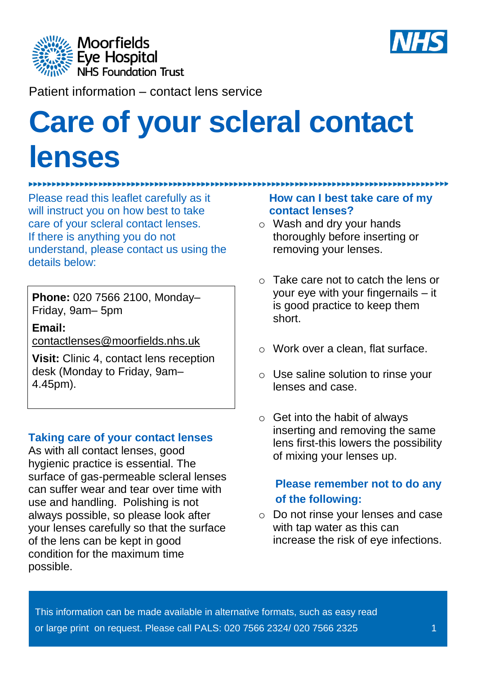



Patient information – contact lens service

# **Care of your scleral contact lenses**

Please read this leaflet carefully as it will instruct you on how best to take care of your scleral contact lenses. If there is anything you do not understand, please contact us using the details below:

**Phone:** 020 7566 2100, Monday– Friday, 9am– 5pm

**Email:**  [contactlenses@moorfields.nhs.uk](mailto:contactlenses@moorfields.nhs.uk)

**Visit:** Clinic 4, contact lens reception desk (Monday to Friday, 9am– 4.45pm).

### **Taking care of your contact lenses**

As with all contact lenses, good hygienic practice is essential. The surface of gas-permeable scleral lenses can suffer wear and tear over time with use and handling. Polishing is not always possible, so please look after your lenses carefully so that the surface of the lens can be kept in good condition for the maximum time possible.

#### **How can I best take care of my contact lenses?**

...............................

- o Wash and dry your hands thoroughly before inserting or removing your lenses.
- o Take care not to catch the lens or your eye with your fingernails – it is good practice to keep them short.
- o Work over a clean, flat surface.
- $\circ$  Use saline solution to rinse your lenses and case.
- $\circ$  Get into the habit of always inserting and removing the same lens first-this lowers the possibility of mixing your lenses up.

# **Please remember not to do any of the following:**

o Do not rinse your lenses and case with tap water as this can increase the risk of eye infections.

This information can be made available in alternative formats, such as easy read or large print on request. Please call PALS: 020 7566 2324/ 020 7566 2325 1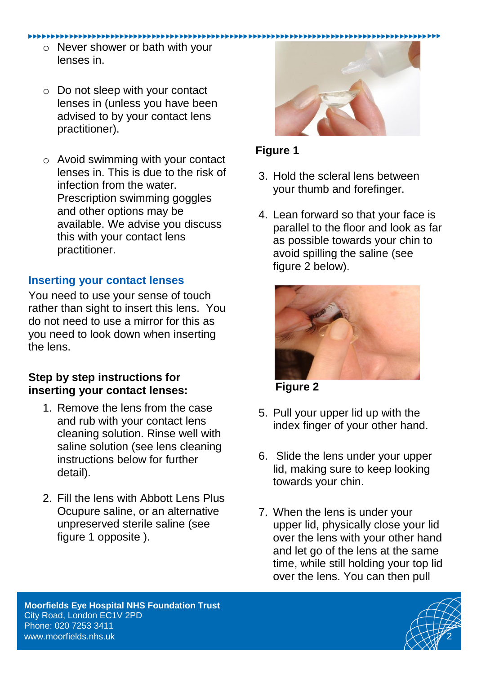#### 

- o Never shower or bath with your lenses in.
- $\circ$  Do not sleep with your contact lenses in (unless you have been advised to by your contact lens practitioner).
- o Avoid swimming with your contact lenses in. This is due to the risk of infection from the water. Prescription swimming goggles and other options may be available. We advise you discuss this with your contact lens practitioner.

#### **Inserting your contact lenses**

You need to use your sense of touch rather than sight to insert this lens. You do not need to use a mirror for this as you need to look down when inserting the lens.

#### **Step by step instructions for inserting your contact lenses:**

- 1. Remove the lens from the case and rub with your contact lens cleaning solution. Rinse well with saline solution (see lens cleaning instructions below for further detail).
- 2. Fill the lens with Abbott Lens Plus Ocupure saline, or an alternative unpreserved sterile saline (see figure 1 opposite ).



### **Figure 1**

- 3. Hold the scleral lens between your thumb and forefinger.
- 4. Lean forward so that your face is parallel to the floor and look as far as possible towards your chin to avoid spilling the saline (see figure 2 below).



 **Figure 2**

- 5. Pull your upper lid up with the index finger of your other hand.
- 6. Slide the lens under your upper lid, making sure to keep looking towards your chin.
- 7. When the lens is under your upper lid, physically close your lid over the lens with your other hand and let go of the lens at the same time, while still holding your top lid over the lens. You can then pull

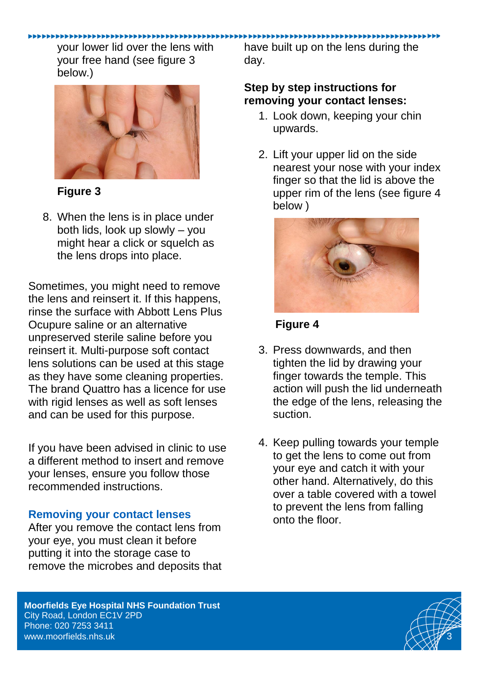your lower lid over the lens with your free hand (see figure 3 below.)



**Figure 3**

8. When the lens is in place under both lids, look up slowly – you might hear a click or squelch as the lens drops into place.

Sometimes, you might need to remove the lens and reinsert it. If this happens, rinse the surface with Abbott Lens Plus Ocupure saline or an alternative unpreserved sterile saline before you reinsert it. Multi-purpose soft contact lens solutions can be used at this stage as they have some cleaning properties. The brand Quattro has a licence for use with rigid lenses as well as soft lenses and can be used for this purpose.

If you have been advised in clinic to use a different method to insert and remove your lenses, ensure you follow those recommended instructions.

#### **Removing your contact lenses**

After you remove the contact lens from your eye, you must clean it before putting it into the storage case to remove the microbes and deposits that

have built up on the lens during the day.

#### **Step by step instructions for removing your contact lenses:**

- 1. Look down, keeping your chin upwards.
- 2. Lift your upper lid on the side nearest your nose with your index finger so that the lid is above the upper rim of the lens (see figure 4 below )



#### **Figure 4**

- 3. Press downwards, and then tighten the lid by drawing your finger towards the temple. This action will push the lid underneath the edge of the lens, releasing the suction.
- 4. Keep pulling towards your temple to get the lens to come out from your eye and catch it with your other hand. Alternatively, do this over a table covered with a towel to prevent the lens from falling onto the floor.



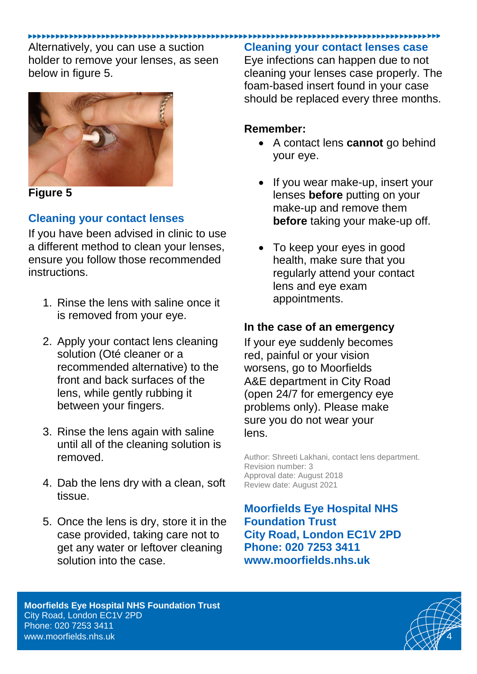#### 

Alternatively, you can use a suction holder to remove your lenses, as seen below in figure 5.



**Figure 5** 

#### **Cleaning your contact lenses**

If you have been advised in clinic to use a different method to clean your lenses, ensure you follow those recommended instructions.

- 1. Rinse the lens with saline once it is removed from your eye.
- 2. Apply your contact lens cleaning solution (Oté cleaner or a recommended alternative) to the front and back surfaces of the lens, while gently rubbing it between your fingers.
- 3. Rinse the lens again with saline until all of the cleaning solution is removed.
- 4. Dab the lens dry with a clean, soft tissue.
- 5. Once the lens is dry, store it in the case provided, taking care not to get any water or leftover cleaning solution into the case.

# **Cleaning your contact lenses case**

Eye infections can happen due to not cleaning your lenses case properly. The foam-based insert found in your case should be replaced every three months.

#### **Remember:**

- A contact lens **cannot** go behind your eye.
- If you wear make-up, insert your lenses **before** putting on your make-up and remove them **before** taking your make-up off.
- To keep your eyes in good health, make sure that you regularly attend your contact lens and eye exam appointments.

### **In the case of an emergency**

If your eye suddenly becomes red, painful or your vision worsens, go to Moorfields A&E department in City Road (open 24/7 for emergency eye problems only). Please make sure you do not wear your lens.

Author: Shreeti Lakhani, contact lens department. Revision number: 3 Approval date: August 2018 Review date: August 2021

**Moorfields Eye Hospital NHS Foundation Trust City Road, London EC1V 2PD Phone: 020 7253 3411 www.moorfields.nhs.uk**